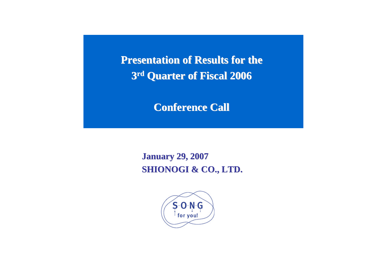**Presentation of Results for the 3rd Quarter of Fiscal 2006 Quarter of Fiscal 2006**

**Conference Call Conference Call**

**January 29, 200 January 29, 2007 SHIONOGI & CO., LTD. SHIONOGI & CO., LTD.**

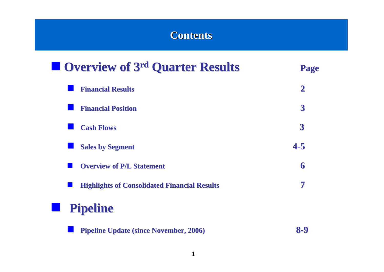## **Contents Contents**

| <b>Overview of 3rd Quarter Results</b>              | Page             |
|-----------------------------------------------------|------------------|
| <b>Financial Results</b>                            | $\mathbf 2$      |
| <b>Financial Position</b>                           | $\boldsymbol{3}$ |
| <b>Cash Flows</b>                                   | $\overline{3}$   |
| <b>Sales by Segment</b>                             | $4 - 5$          |
| <b>Overview of P/L Statement</b>                    | 6                |
| <b>Highlights of Consolidated Financial Results</b> | 7                |
| <b>Pipeline</b><br><u>to a</u>                      |                  |
| <b>Pipeline Update (since November, 2006)</b>       | 8-9              |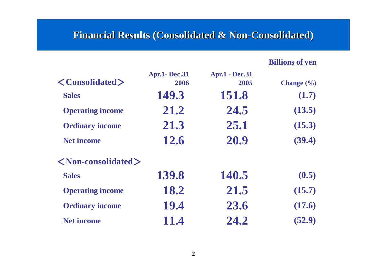#### **Financial Results (Consolidated & Non-Consolidated)**

**Billions of yen**

| $\langle$ Consolidated $\rangle$     | <b>Apr.1-Dec.31</b><br>2006 | <b>Apr.1 - Dec.31</b><br>2005 | Change $(\% )$ |
|--------------------------------------|-----------------------------|-------------------------------|----------------|
| <b>Sales</b>                         | 149.3                       | 151.8                         | (1.7)          |
| <b>Operating income</b>              | 21.2                        | 24.5                          | (13.5)         |
| <b>Ordinary income</b>               | 21.3                        | 25.1                          | (15.3)         |
| <b>Net income</b>                    | 12.6                        | 20.9                          | (39.4)         |
| $\langle$ Non-consolidated $\rangle$ |                             |                               |                |
| <b>Sales</b>                         | 139.8                       | 140.5                         | (0.5)          |
| <b>Operating income</b>              | 18.2                        | 21.5                          | (15.7)         |
| <b>Ordinary income</b>               | 19.4                        | 23.6                          | (17.6)         |
| <b>Net income</b>                    | 11.4                        | 24.2                          | (52.9)         |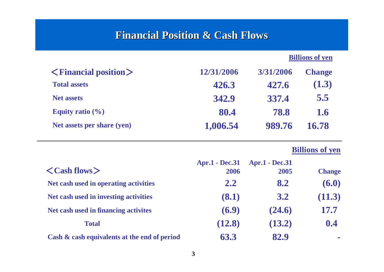### **Financial Position & Cash Flows**

#### **Billions of yen**

| $\langle$ Financial position $\rangle$ | 12/31/2006 | 3/31/2006 | <b>Change</b> |
|----------------------------------------|------------|-----------|---------------|
| <b>Total assets</b>                    | 426.3      | 427.6     | (1.3)         |
| <b>Net assets</b>                      | 342.9      | 337.4     | 5.5           |
| Equity ratio $(\% )$                   | 80.4       | 78.8      | 1.6           |
| Net assets per share (yen)             | 1,006.54   | 989.76    | 16.78         |

#### **Billions of yen**

| $\langle$ Cash flows $\rangle$               | <b>Apr.1 - Dec.31</b><br>2006 | <b>Apr.1 - Dec.31</b><br>2005 | <b>Change</b> |
|----------------------------------------------|-------------------------------|-------------------------------|---------------|
| Net cash used in operating activities        | 2.2                           | 8.2                           | (6.0)         |
| Net cash used in investing activities        | (8.1)                         | 3.2                           | (11.3)        |
| Net cash used in financing activites         | (6.9)                         | (24.6)                        | 17.7          |
| <b>Total</b>                                 | (12.8)                        | (13.2)                        | 0.4           |
| Cash & cash equivalents at the end of period | 63.3                          | 82.9                          |               |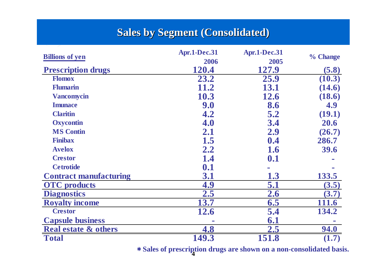### **Sales by Segment (Consolidated)**

|                                 | Apr.1-Dec.31 | Apr.1-Dec.31 |          |
|---------------------------------|--------------|--------------|----------|
| <b>Billions of yen</b>          | 2006         | 2005         | % Change |
| <b>Prescription drugs</b>       | 120.4        | 127.9        | (5.8)    |
| <b>Flomox</b>                   | 23.2         | 25.9         | (10.3)   |
| <b>Flumarin</b>                 | 11.2         | 13.1         | (14.6)   |
| <b>Vancomycin</b>               | 10.3         | <b>12.6</b>  | (18.6)   |
| <b>Imunace</b>                  | 9.0          | 8.6          | 4.9      |
| <b>Claritin</b>                 | 4.2          | 5.2          | (19.1)   |
| <b>Oxycontin</b>                | 4.0          | 3.4          | 20.6     |
| <b>MS Contin</b>                | 2.1          | 2.9          | (26.7)   |
| <b>Finibax</b>                  | 1.5          | 0.4          | 286.7    |
| <b>Avelox</b>                   | 2.2          | <b>1.6</b>   | 39.6     |
| <b>Crestor</b>                  | 1.4          | 0.1          |          |
| <b>Cetrotide</b>                | 0.1          |              |          |
| <b>Contract manufacturing</b>   | 3.1          | 1.3          | 133.5    |
| <b>OTC</b> products             | 4.9          | 5.1          | (3.5)    |
| <b>Diagnostics</b>              | 2.5          | 2.6          | (3.7)    |
| <b>Royalty income</b>           | 13.7         | 6.5          | 111.6    |
| <b>Crestor</b>                  | 12.6         | 5.4          | 134.2    |
| <b>Capsule business</b>         |              | 6.1          |          |
| <b>Real estate &amp; others</b> | 4.8          | 2.5          | 94.0     |
| <b>Total</b>                    | 149.3        | 151.8        | (1.7)    |

**4**\***Sales of prescription drugs are shown on a non-consolidated basis.**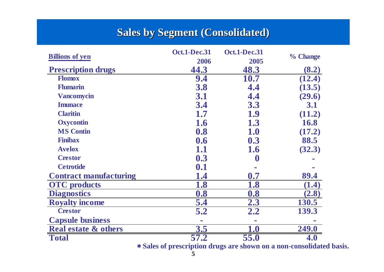### **Sales by Segment (Consolidated)**

|                                 | Oct.1-Dec.31     | Oct.1-Dec.31      |          |
|---------------------------------|------------------|-------------------|----------|
| <b>Billions</b> of yen          | 2006             | 2005              | % Change |
| <b>Prescription drugs</b>       | 44.3             | 48.3              | (8.2)    |
| <b>Flomox</b>                   | 9.4              | 10.7              | (12.4)   |
| Flumarin                        | 3.8              | 4.4               | (13.5)   |
| <b>Vancomycin</b>               | 3.1              | 4.4               | (29.6)   |
| <b>Imunace</b>                  | 3.4              | 3.3               | 3.1      |
| <b>Claritin</b>                 | 1.7              | 1.9               | (11.2)   |
| <b>Oxycontin</b>                | 1.6              | 1.3               | 16.8     |
| <b>MS Contin</b>                | 0.8              | 1.0               | (17.2)   |
| <b>Finibax</b>                  | 0.6              | 0.3               | 88.5     |
| <b>Avelox</b>                   | 1.1              | 1.6               | (32.3)   |
| <b>Crestor</b>                  | 0.3              | $\boldsymbol{0}$  |          |
| <b>Cetrotide</b>                | 0.1              |                   |          |
| <b>Contract manufacturing</b>   | $1.4\,$          | 0.7               | 89.4     |
| <b>OTC</b> products             | 1.8              | 1.8               | (1.4)    |
| <b>Diagnostics</b>              | 0.8              | 0.8               | (2.8)    |
| <b>Royalty income</b>           | 5.4              | 2.3               | 130.5    |
| <b>Crestor</b>                  | $\overline{5.2}$ | 2.2               | 139.3    |
| <b>Capsule business</b>         |                  |                   |          |
| <b>Real estate &amp; others</b> | 3.5              | $\boldsymbol{.0}$ | 249.0    |
| <b>Total</b>                    | 57.2             | 55.0              |          |

\***Sales of prescription drugs are shown on a non-consolidated basis.**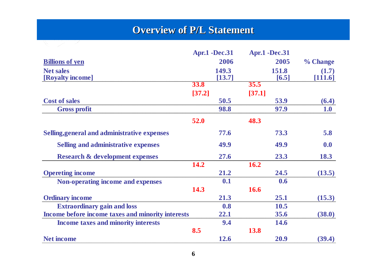#### **Overview of P/L Statement**

|                                                   |             | <b>Apr.1 -Dec.31</b> |             | <b>Apr.1 -Dec.31</b> |            |
|---------------------------------------------------|-------------|----------------------|-------------|----------------------|------------|
| <b>Billions of yen</b>                            |             | 2006                 |             | 2005                 | % Change   |
| <b>Net sales</b>                                  |             | 149.3                |             | 151.8                | (1.7)      |
| [Royalty income]                                  |             | [13.7]               |             | [6.5]                | [111.6]    |
|                                                   | <b>33.8</b> |                      | 35.5        |                      |            |
|                                                   | [37.2]      |                      | [37.1]      |                      |            |
| <b>Cost of sales</b>                              |             | 50.5                 |             | 53.9                 | (6.4)      |
| <b>Gross profit</b>                               |             | 98.8                 |             | 97.9                 | <b>1.0</b> |
|                                                   | 52.0        |                      | 48.3        |                      |            |
| Selling, general and administrative expenses      |             | 77.6                 |             | 73.3                 | 5.8        |
| <b>Selling and administrative expenses</b>        |             | 49.9                 |             | 49.9                 | 0.0        |
| <b>Research &amp; development expenses</b>        |             | 27.6                 |             | 23.3                 | 18.3       |
|                                                   | 14.2        |                      | 16.2        |                      |            |
| <b>Opereting income</b>                           |             | 21.2                 |             | 24.5                 | (13.5)     |
| <b>Non-operating income and expenses</b>          |             | 0.1                  |             | 0.6                  |            |
|                                                   | 14.3        |                      | <b>16.6</b> |                      |            |
| <b>Ordinary income</b>                            |             | 21.3                 |             | 25.1                 | (15.3)     |
| <b>Extraordinary gain and loss</b>                |             | 0.8                  |             | 10.5                 |            |
| Income before income taxes and minority interests |             | 22.1                 |             | 35.6                 | (38.0)     |
| <b>Income taxes and minority interests</b>        |             | 9.4                  |             | 14.6                 |            |
|                                                   | 8.5         |                      | 13.8        |                      |            |
| <b>Net income</b>                                 |             | 12.6                 |             | 20.9                 | (39.4)     |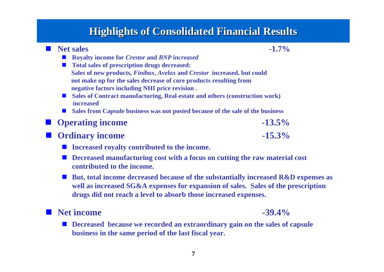#### **Highlights of Consolidated Financial Results Highlights of Consolidated Financial Results**

| <b>Net sales</b>                                                                                               | $-1.7\%$                                                                                                                                                                |  |
|----------------------------------------------------------------------------------------------------------------|-------------------------------------------------------------------------------------------------------------------------------------------------------------------------|--|
| <b>Royalty income for Crestor and BNP increased</b>                                                            |                                                                                                                                                                         |  |
| <b>Total sales of prescription drugs decreased:</b>                                                            |                                                                                                                                                                         |  |
| Sales of new products, <i>Finibax</i> , <i>Avelox</i> and <i>Crestor</i> increased, but could                  |                                                                                                                                                                         |  |
| not make up for the sales decrease of core products resulting from                                             |                                                                                                                                                                         |  |
| negative factors including NHI price revision.                                                                 |                                                                                                                                                                         |  |
| $\blacksquare$ Sales of Contract manufacturing, Real-estate and others (construction work)<br><b>increased</b> |                                                                                                                                                                         |  |
| Sales from Capsule business was not posted because of the sale of the business                                 |                                                                                                                                                                         |  |
| <b>Operating income</b>                                                                                        | $-13.5\%$                                                                                                                                                               |  |
| <b>Ordinary income</b>                                                                                         | $-15.3\%$                                                                                                                                                               |  |
| Increased royalty contributed to the income.                                                                   |                                                                                                                                                                         |  |
| Decreased manufacturing cost with a focus on cutting the raw material cost<br>contributed to the income.       |                                                                                                                                                                         |  |
| drugs did not reach a level to absorb those increased expenses.                                                | But, total income decreased because of the substantially increased R&D expenses as<br>well as increased SG&A expenses for expansion of sales. Sales of the prescription |  |

■ Net income

 **Decreased because we recorded an extraordinary gain on the sales of capsule business in the same period of the last fiscal year.**

 $-39.4%$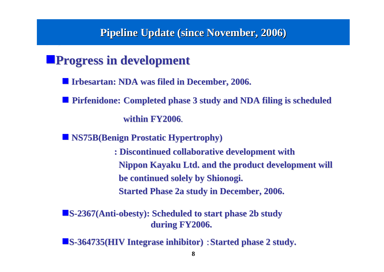#### **Pipeline Update (since November, 2006) Pipeline Update (since November, 2006)**

# **Progress in development**

- **Irbesartan: NDA was filed in December, 2006. Irbesartan: NDA was filed in December, 2006.**
- **Pirfenidone:** Completed phase 3 study and NDA filing is scheduled **within FY2006 within FY2006**.
- $\blacksquare$  **NS75B(Benign Prostatic Hypertrophy)** 
	- **: Discontinued collaborative development : Discontinued collaborative development with Nippon Kayaku Ltd. and the product development will be continued solely by Shionogi. be continued solely by Shionogi. Started Phase 2a study in December, 2006.**

**<u>IS-2367(Anti-obesty): Scheduled to start phase 2b study</u> during FY2006. during FY2006.**

**S-364735(HIV Integrase inhibitor) : Started phase 2 study.**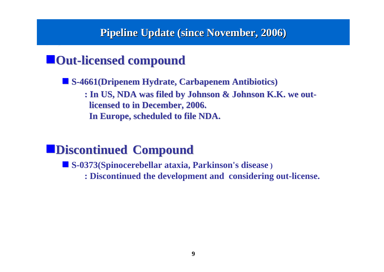#### **Pipeline Update (since November, 2006) Pipeline Update (since November, 2006)**

# $\blacksquare$  **Out-licensed compound**

 **S-4661(Dripenem Hydrate, Carbapenem Antibiotics) 4661(Dripenem Hydrate, Carbapenem Antibiotics) : In US, NDA was filed by Johnson & Johnson K.K. we ou : In US, NDA was filed by Johnson & Johnson K.K. we outlicensed to in December, 2006. licensed to in December, 2006. In Europe, scheduled to file NDA. In Europe, scheduled to file NDA.**

# **Discontinued Discontinued Compound Compound**

**S-0373(Spinocerebellar ataxia, Parkinson's disease )**

**: Discontinued the development and considering out-license.**